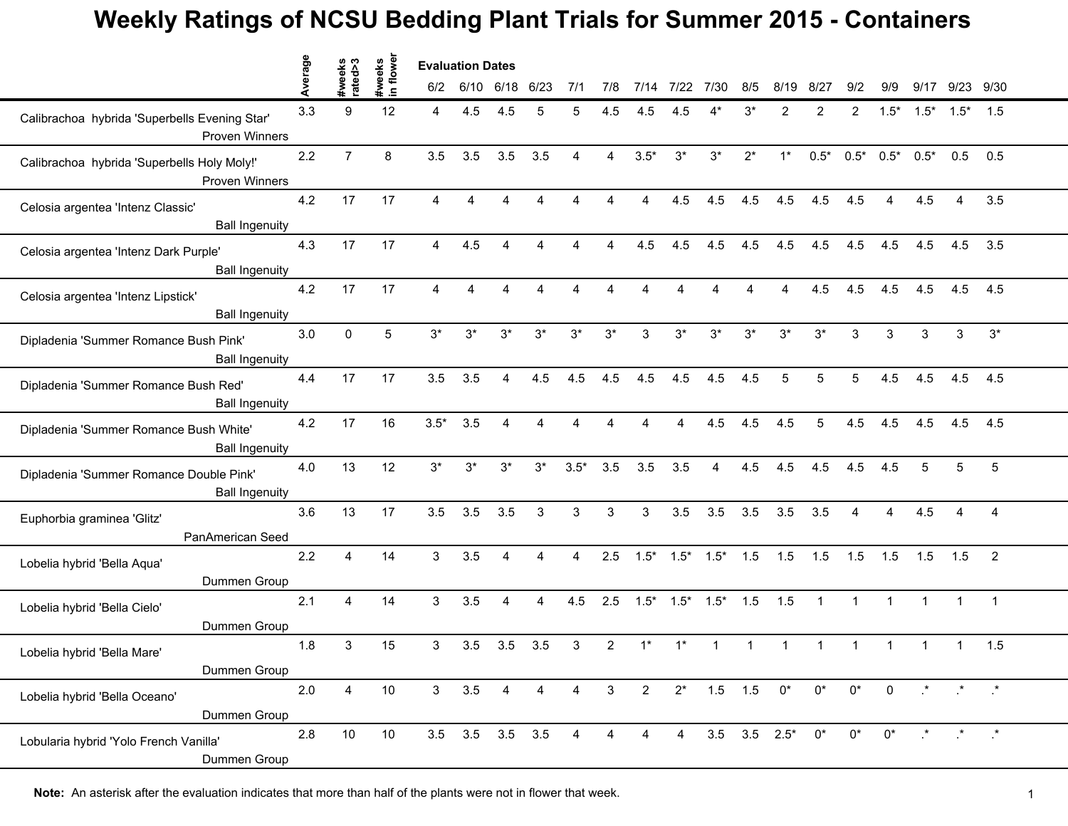## **Weekly Ratings of NCSU Bedding Plant Trials for Summer 2015 - Containers**

|                                                                        | Average | #weeks<br>rated>3 | #weeks<br>in flower |                         | <b>Evaluation Dates</b> |       |       |                |                 |                |                |             |       |                           |              |                |                |        |                                                                                               |                |
|------------------------------------------------------------------------|---------|-------------------|---------------------|-------------------------|-------------------------|-------|-------|----------------|-----------------|----------------|----------------|-------------|-------|---------------------------|--------------|----------------|----------------|--------|-----------------------------------------------------------------------------------------------|----------------|
|                                                                        |         |                   |                     |                         | 6/10                    | 6/18  | 6/23  | 7/1            | 7/8             | 7/14           | 7/22           | 7/30        | 8/5   | 8/19                      | 8/27         | 9/2            | 9/9            | 9/17   | 9/23 9/30                                                                                     |                |
| Calibrachoa hybrida 'Superbells Evening Star'<br><b>Proven Winners</b> | 3.3     | 9                 | 12                  | 4                       | 4.5                     | 4.5   | 5     | 5              | 4.5             | 4.5            | 4.5            |             | 3*    | 2                         | 2            | 2              | $1.5*$         | $1.5*$ | $1.5*$                                                                                        | 1.5            |
| Calibrachoa hybrida 'Superbells Holy Moly!'<br>Proven Winners          | 2.2     | $\overline{7}$    | 8                   | 3.5                     | 3.5                     | 3.5   | 3.5   | 4              | 4               | $3.5*$         | $3^*$          | $3^{\star}$ | $2^*$ | $1^*$                     | $0.5*$       | $0.5*$         | $0.5*$         | $0.5*$ | 0.5                                                                                           | 0.5            |
| Celosia argentea 'Intenz Classic'<br><b>Ball Ingenuity</b>             | 4.2     | 17                | 17                  | 4                       |                         |       |       | 4              |                 | 4              | 4.5            | 4.5         | 4.5   | 4.5                       | 4.5          | 4.5            | 4              | 4.5    | Δ                                                                                             | 3.5            |
| Celosia argentea 'Intenz Dark Purple'<br><b>Ball Ingenuity</b>         | 4.3     | 17                | 17                  | 4                       | 4.5                     |       |       | 4              |                 | 4.5            | 4.5            | 4.5         | 4.5   | 4.5                       | 4.5          | 4.5            | 4.5            | 4.5    | 4.5                                                                                           | 3.5            |
| Celosia argentea 'Intenz Lipstick'<br><b>Ball Ingenuity</b>            | 4.2     | 17                | 17                  | $\overline{\mathbf{4}}$ |                         |       |       |                |                 |                |                |             |       |                           | 4.5          | 4.5            | 4.5            | 4.5    | 4.5                                                                                           | 4.5            |
| Dipladenia 'Summer Romance Bush Pink'<br><b>Ball Ingenuity</b>         | 3.0     | $\mathbf{0}$      | 5                   | $3^*$                   | $3^*$                   | $3^*$ | $3*$  | $3^*$          | $3^*$           | 3              | $3^*$          | $3^*$       | $3^*$ | $3^*$                     | $3^*$        | 3              | 3              | 3      | 3                                                                                             | $3^*$          |
| Dipladenia 'Summer Romance Bush Red'<br><b>Ball Ingenuity</b>          | 4.4     | 17                | 17                  | 3.5                     | 3.5                     | 4     | 4.5   | 4.5            | 4.5             | 4.5            | 4.5            | 4.5         | 4.5   | 5                         | 5            | 5              | 4.5            | 4.5    | 4.5                                                                                           | 4.5            |
| Dipladenia 'Summer Romance Bush White'<br><b>Ball Ingenuity</b>        | 4.2     | 17                | 16                  | $3.5*$                  | 3.5                     | 4     | 4     |                |                 |                | 4              | 4.5         | 4.5   | 4.5                       | 5            | 4.5            | 4.5            | 4.5    | 4.5                                                                                           | 4.5            |
| Dipladenia 'Summer Romance Double Pink'<br><b>Ball Ingenuity</b>       | 4.0     | 13                | 12                  | $3^*$                   | $3^*$                   | $3^*$ | $3^*$ | $3.5*$         | 3.5             | 3.5            | 3.5            | 4           | 4.5   | 4.5                       | 4.5          | 4.5            | 4.5            | 5      | 5                                                                                             | 5              |
| Euphorbia graminea 'Glitz'<br>PanAmerican Seed                         | 3.6     | 13                | 17                  | 3.5                     | 3.5                     | 3.5   | 3     | 3              | 3               | 3              | 3.5            | 3.5         | 3.5   | 3.5                       | 3.5          | $\overline{4}$ | 4              | 4.5    | $\overline{4}$                                                                                | $\overline{4}$ |
| Lobelia hybrid 'Bella Aqua'<br>Dummen Group                            | 2.2     | 4                 | 14                  | 3                       | 3.5                     | 4     | 4     | 4              | 2.5             | $1.5*$         | $1.5*$         | $1.5*$      | 1.5   | 1.5                       | 1.5          | 1.5            | 1.5            | 1.5    | 1.5                                                                                           | $\overline{2}$ |
| Lobelia hybrid 'Bella Cielo'<br>Dummen Group                           | 2.1     | 4                 | 14                  | 3                       | 3.5                     | 4     | 4     | 4.5            | 2.5             | $1.5*$         | $1.5*$         | $1.5*$      | 1.5   | 1.5                       | $\mathbf{1}$ | $\mathbf{1}$   | $\mathbf{1}$   |        |                                                                                               | $\overline{1}$ |
| Lobelia hybrid 'Bella Mare'<br>Dummen Group                            | 1.8     | 3                 | 15                  | 3                       | 3.5                     | 3.5   | 3.5   | 3              | $\overline{2}$  | $1^*$          |                |             |       |                           |              |                |                |        |                                                                                               | 1.5            |
| Lobelia hybrid 'Bella Oceano'<br>Dummen Group                          | 2.0     | 4                 | 10                  | 3 <sup>7</sup>          | 3.5                     | 4     | 4     | $\overline{4}$ | $3\overline{3}$ | $\overline{2}$ | $2^*$          | $1.5$ $1.5$ |       | $0^*$                     | $0^*$        | $0^*$          | $\overline{0}$ |        | $\begin{array}{ccccccccc}\n\star & & \star & & \star & & \star \\\n\end{array}$               |                |
| Lobularia hybrid 'Yolo French Vanilla'<br>Dummen Group                 | $2.8$   | 10                | 10                  |                         | $3.5$ $3.5$ $3.5$ $3.5$ |       |       | 4              | 4               | 4              | $\overline{4}$ |             |       | $3.5$ $3.5$ $2.5^*$ $0^*$ |              | $0^*$          | $0^*$          |        | $\begin{array}{ccccccccc}\n\star & & & \star & & & \star\\ \star & & & & & & & & \end{array}$ |                |

**Note:** An asterisk after the evaluation indicates that more than half of the plants were not in flower that week.